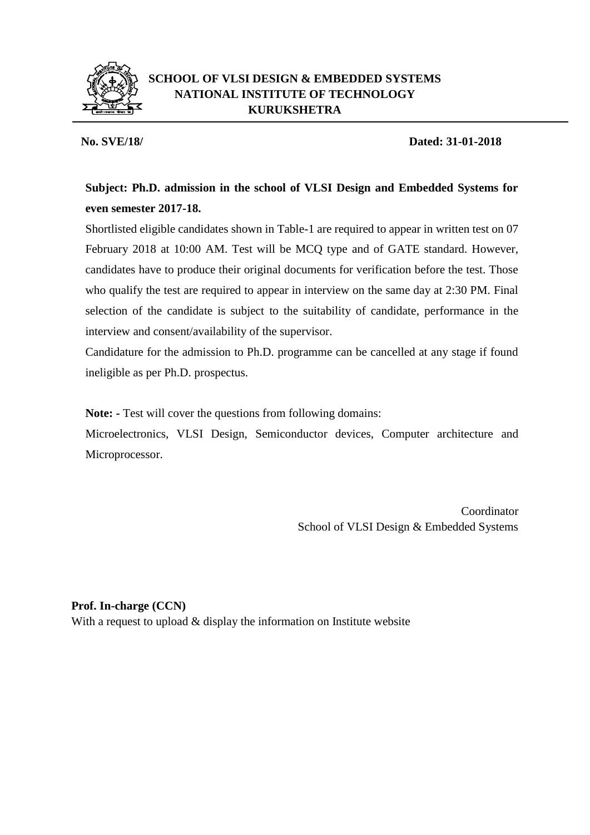

## **SCHOOL OF VLSI DESIGN & EMBEDDED SYSTEMS NATIONAL INSTITUTE OF TECHNOLOGY KURUKSHETRA**

## **No. SVE/18/ Dated: 31-01-2018**

## **Subject: Ph.D. admission in the school of VLSI Design and Embedded Systems for even semester 2017-18.**

Shortlisted eligible candidates shown in Table-1 are required to appear in written test on 07 February 2018 at 10:00 AM. Test will be MCQ type and of GATE standard. However, candidates have to produce their original documents for verification before the test. Those who qualify the test are required to appear in interview on the same day at 2:30 PM. Final selection of the candidate is subject to the suitability of candidate, performance in the interview and consent/availability of the supervisor.

Candidature for the admission to Ph.D. programme can be cancelled at any stage if found ineligible as per Ph.D. prospectus.

**Note: -** Test will cover the questions from following domains:

Microelectronics, VLSI Design, Semiconductor devices, Computer architecture and Microprocessor.

> Coordinator School of VLSI Design & Embedded Systems

**Prof. In-charge (CCN)**

With a request to upload & display the information on Institute website